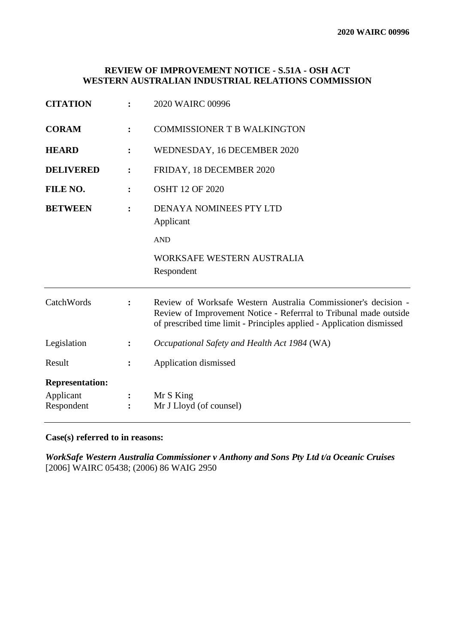# **REVIEW OF IMPROVEMENT NOTICE - S.51A - OSH ACT WESTERN AUSTRALIAN INDUSTRIAL RELATIONS COMMISSION**

| <b>CITATION</b>                                   |                | 2020 WAIRC 00996                                                                                                                                                                                             |
|---------------------------------------------------|----------------|--------------------------------------------------------------------------------------------------------------------------------------------------------------------------------------------------------------|
| <b>CORAM</b>                                      |                | <b>COMMISSIONER T B WALKINGTON</b>                                                                                                                                                                           |
| <b>HEARD</b>                                      |                | WEDNESDAY, 16 DECEMBER 2020                                                                                                                                                                                  |
| <b>DELIVERED</b>                                  | $\ddot{\cdot}$ | FRIDAY, 18 DECEMBER 2020                                                                                                                                                                                     |
| FILE NO.                                          |                | <b>OSHT 12 OF 2020</b>                                                                                                                                                                                       |
| <b>BETWEEN</b>                                    |                | <b>DENAYA NOMINEES PTY LTD</b><br>Applicant                                                                                                                                                                  |
|                                                   |                | <b>AND</b>                                                                                                                                                                                                   |
|                                                   |                | WORKSAFE WESTERN AUSTRALIA<br>Respondent                                                                                                                                                                     |
| CatchWords                                        |                | Review of Worksafe Western Australia Commissioner's decision -<br>Review of Improvement Notice - Referrral to Tribunal made outside<br>of prescribed time limit - Principles applied - Application dismissed |
| Legislation                                       | $\ddot{\cdot}$ | Occupational Safety and Health Act 1984 (WA)                                                                                                                                                                 |
| Result                                            |                | Application dismissed                                                                                                                                                                                        |
| <b>Representation:</b><br>Applicant<br>Respondent |                | Mr S King<br>Mr J Lloyd (of counsel)                                                                                                                                                                         |

**Case(s) referred to in reasons:**

*WorkSafe Western Australia Commissioner v Anthony and Sons Pty Ltd t/a Oceanic Cruises* [2006] WAIRC 05438; (2006) 86 WAIG 2950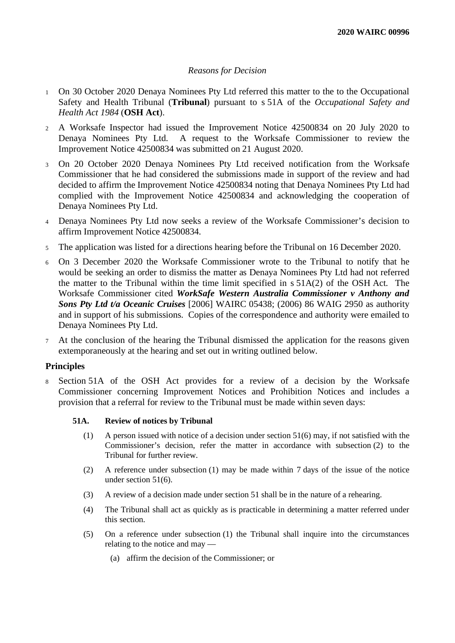## *Reasons for Decision*

- <sup>1</sup> On 30 October 2020 Denaya Nominees Pty Ltd referred this matter to the to the Occupational Safety and Health Tribunal (**Tribunal**) pursuant to s 51A of the *Occupational Safety and Health Act 1984* (**OSH Act**).
- <sup>2</sup> A Worksafe Inspector had issued the Improvement Notice 42500834 on 20 July 2020 to Denaya Nominees Pty Ltd. A request to the Worksafe Commissioner to review the Improvement Notice 42500834 was submitted on 21 August 2020.
- <sup>3</sup> On 20 October 2020 Denaya Nominees Pty Ltd received notification from the Worksafe Commissioner that he had considered the submissions made in support of the review and had decided to affirm the Improvement Notice 42500834 noting that Denaya Nominees Pty Ltd had complied with the Improvement Notice 42500834 and acknowledging the cooperation of Denaya Nominees Pty Ltd.
- <sup>4</sup> Denaya Nominees Pty Ltd now seeks a review of the Worksafe Commissioner's decision to affirm Improvement Notice 42500834.
- <sup>5</sup> The application was listed for a directions hearing before the Tribunal on 16 December 2020.
- <sup>6</sup> On 3 December 2020 the Worksafe Commissioner wrote to the Tribunal to notify that he would be seeking an order to dismiss the matter as Denaya Nominees Pty Ltd had not referred the matter to the Tribunal within the time limit specified in s 51A(2) of the OSH Act. The Worksafe Commissioner cited *WorkSafe Western Australia Commissioner v Anthony and Sons Pty Ltd t/a Oceanic Cruises* [2006] WAIRC 05438; (2006) 86 WAIG 2950 as authority and in support of his submissions. Copies of the correspondence and authority were emailed to Denaya Nominees Pty Ltd.
- <sup>7</sup> At the conclusion of the hearing the Tribunal dismissed the application for the reasons given extemporaneously at the hearing and set out in writing outlined below.

## **Principles**

<sup>8</sup> Section 51A of the OSH Act provides for a review of a decision by the Worksafe Commissioner concerning Improvement Notices and Prohibition Notices and includes a provision that a referral for review to the Tribunal must be made within seven days:

## **51A. Review of notices by Tribunal**

- (1) A person issued with notice of a decision under section 51(6) may, if not satisfied with the Commissioner's decision, refer the matter in accordance with subsection (2) to the Tribunal for further review.
- (2) A reference under subsection (1) may be made within 7 days of the issue of the notice under section 51(6).
- (3) A review of a decision made under section 51 shall be in the nature of a rehearing.
- (4) The Tribunal shall act as quickly as is practicable in determining a matter referred under this section.
- (5) On a reference under subsection (1) the Tribunal shall inquire into the circumstances relating to the notice and may —
	- (a) affirm the decision of the Commissioner; or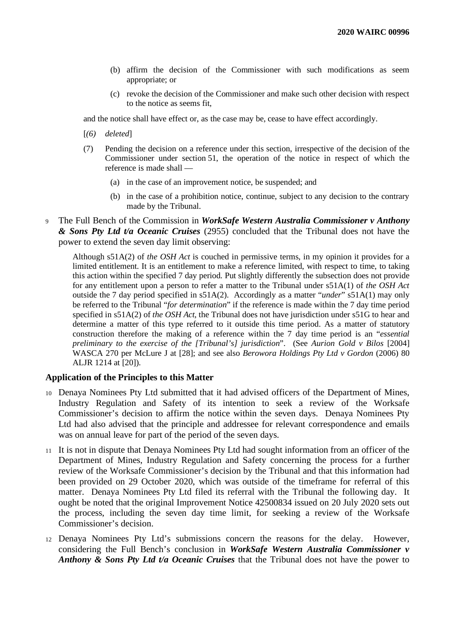- (b) affirm the decision of the Commissioner with such modifications as seem appropriate; or
- (c) revoke the decision of the Commissioner and make such other decision with respect to the notice as seems fit,

and the notice shall have effect or, as the case may be, cease to have effect accordingly.

- [*(6) deleted*]
- (7) Pending the decision on a reference under this section, irrespective of the decision of the Commissioner under section 51, the operation of the notice in respect of which the reference is made shall —
	- (a) in the case of an improvement notice, be suspended; and
	- (b) in the case of a prohibition notice, continue, subject to any decision to the contrary made by the Tribunal.
- <sup>9</sup> The Full Bench of the Commission in *WorkSafe Western Australia Commissioner v Anthony & Sons Pty Ltd t/a Oceanic Cruises* (2955) concluded that the Tribunal does not have the power to extend the seven day limit observing:

Although s51A(2) of *the OSH Act* is couched in permissive terms, in my opinion it provides for a limited entitlement. It is an entitlement to make a reference limited, with respect to time, to taking this action within the specified 7 day period. Put slightly differently the subsection does not provide for any entitlement upon a person to refer a matter to the Tribunal under s51A(1) of *the OSH Act* outside the 7 day period specified in s51A(2). Accordingly as a matter "*under*" s51A(1) may only be referred to the Tribunal "*for determination*" if the reference is made within the 7 day time period specified in s51A(2) of *the OSH Act*, the Tribunal does not have jurisdiction under s51G to hear and determine a matter of this type referred to it outside this time period. As a matter of statutory construction therefore the making of a reference within the 7 day time period is an "*essential preliminary to the exercise of the [Tribunal's] jurisdiction*". (See *Aurion Gold v Bilos* [2004] WASCA 270 per McLure J at [28]; and see also *Berowora Holdings Pty Ltd v Gordon* (2006) 80 ALJR 1214 at [20]).

### **Application of the Principles to this Matter**

- <sup>10</sup> Denaya Nominees Pty Ltd submitted that it had advised officers of the Department of Mines, Industry Regulation and Safety of its intention to seek a review of the Worksafe Commissioner's decision to affirm the notice within the seven days. Denaya Nominees Pty Ltd had also advised that the principle and addressee for relevant correspondence and emails was on annual leave for part of the period of the seven days.
- <sup>11</sup> It is not in dispute that Denaya Nominees Pty Ltd had sought information from an officer of the Department of Mines, Industry Regulation and Safety concerning the process for a further review of the Worksafe Commissioner's decision by the Tribunal and that this information had been provided on 29 October 2020, which was outside of the timeframe for referral of this matter. Denaya Nominees Pty Ltd filed its referral with the Tribunal the following day. It ought be noted that the original Improvement Notice 42500834 issued on 20 July 2020 sets out the process, including the seven day time limit, for seeking a review of the Worksafe Commissioner's decision.
- <sup>12</sup> Denaya Nominees Pty Ltd's submissions concern the reasons for the delay. However, considering the Full Bench's conclusion in *WorkSafe Western Australia Commissioner v Anthony & Sons Pty Ltd t/a Oceanic Cruises* that the Tribunal does not have the power to